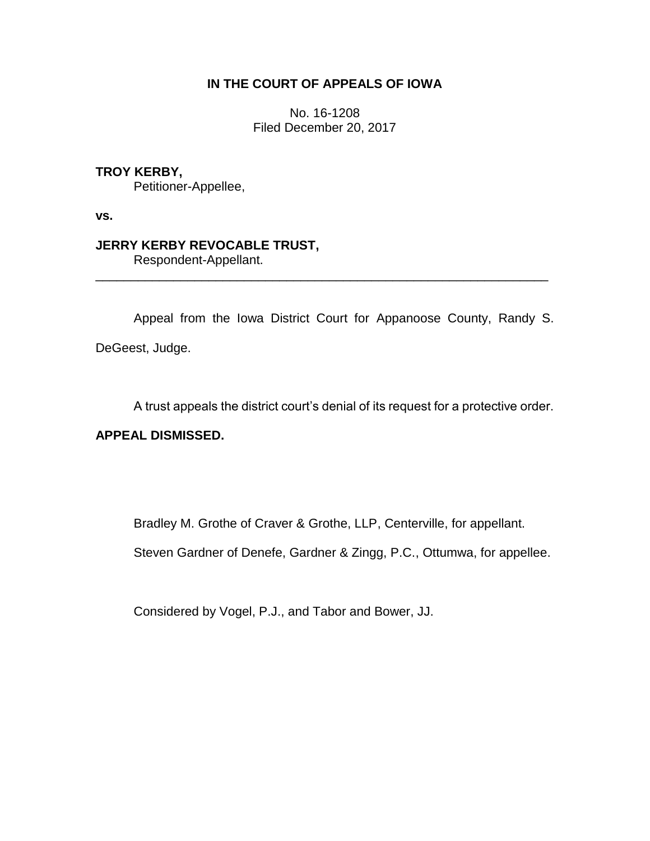# **IN THE COURT OF APPEALS OF IOWA**

No. 16-1208 Filed December 20, 2017

**TROY KERBY,**

Petitioner-Appellee,

**vs.**

# **JERRY KERBY REVOCABLE TRUST,**

Respondent-Appellant.

Appeal from the Iowa District Court for Appanoose County, Randy S. DeGeest, Judge.

\_\_\_\_\_\_\_\_\_\_\_\_\_\_\_\_\_\_\_\_\_\_\_\_\_\_\_\_\_\_\_\_\_\_\_\_\_\_\_\_\_\_\_\_\_\_\_\_\_\_\_\_\_\_\_\_\_\_\_\_\_\_\_\_

A trust appeals the district court's denial of its request for a protective order.

### **APPEAL DISMISSED.**

Bradley M. Grothe of Craver & Grothe, LLP, Centerville, for appellant.

Steven Gardner of Denefe, Gardner & Zingg, P.C., Ottumwa, for appellee.

Considered by Vogel, P.J., and Tabor and Bower, JJ.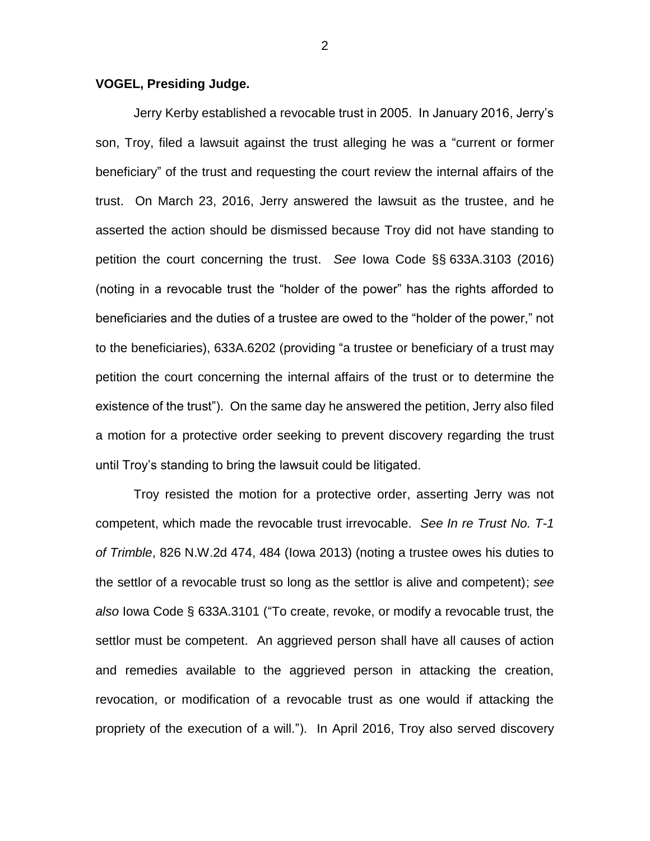#### **VOGEL, Presiding Judge.**

Jerry Kerby established a revocable trust in 2005. In January 2016, Jerry's son, Troy, filed a lawsuit against the trust alleging he was a "current or former beneficiary" of the trust and requesting the court review the internal affairs of the trust. On March 23, 2016, Jerry answered the lawsuit as the trustee, and he asserted the action should be dismissed because Troy did not have standing to petition the court concerning the trust. *See* Iowa Code §§ 633A.3103 (2016) (noting in a revocable trust the "holder of the power" has the rights afforded to beneficiaries and the duties of a trustee are owed to the "holder of the power," not to the beneficiaries), 633A.6202 (providing "a trustee or beneficiary of a trust may petition the court concerning the internal affairs of the trust or to determine the existence of the trust"). On the same day he answered the petition, Jerry also filed a motion for a protective order seeking to prevent discovery regarding the trust until Troy's standing to bring the lawsuit could be litigated.

Troy resisted the motion for a protective order, asserting Jerry was not competent, which made the revocable trust irrevocable. *See In re Trust No. T-1 of Trimble*, 826 N.W.2d 474, 484 (Iowa 2013) (noting a trustee owes his duties to the settlor of a revocable trust so long as the settlor is alive and competent); *see also* Iowa Code § 633A.3101 ("To create, revoke, or modify a revocable trust, the settlor must be competent. An aggrieved person shall have all causes of action and remedies available to the aggrieved person in attacking the creation, revocation, or modification of a revocable trust as one would if attacking the propriety of the execution of a will."). In April 2016, Troy also served discovery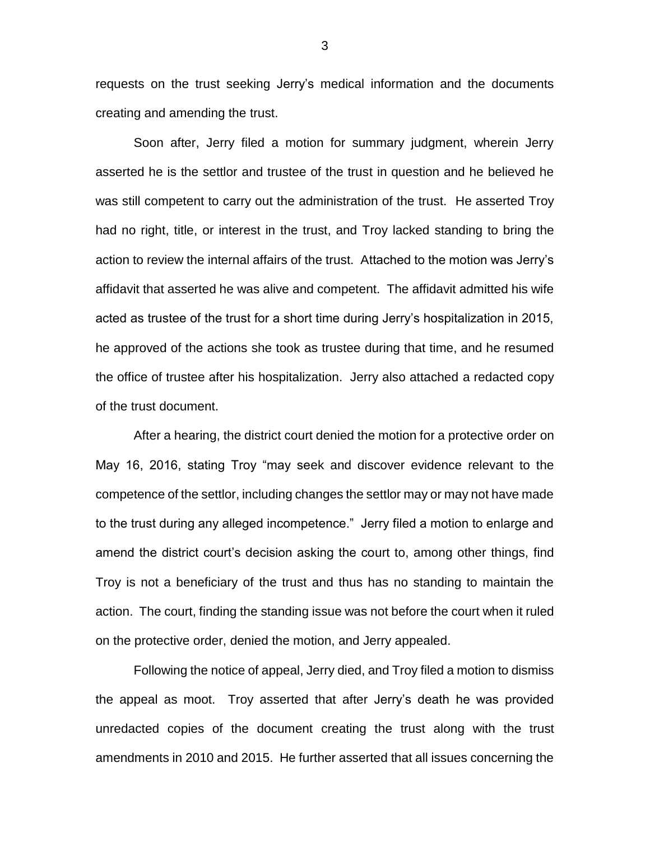requests on the trust seeking Jerry's medical information and the documents creating and amending the trust.

Soon after, Jerry filed a motion for summary judgment, wherein Jerry asserted he is the settlor and trustee of the trust in question and he believed he was still competent to carry out the administration of the trust. He asserted Troy had no right, title, or interest in the trust, and Troy lacked standing to bring the action to review the internal affairs of the trust. Attached to the motion was Jerry's affidavit that asserted he was alive and competent. The affidavit admitted his wife acted as trustee of the trust for a short time during Jerry's hospitalization in 2015, he approved of the actions she took as trustee during that time, and he resumed the office of trustee after his hospitalization. Jerry also attached a redacted copy of the trust document.

After a hearing, the district court denied the motion for a protective order on May 16, 2016, stating Troy "may seek and discover evidence relevant to the competence of the settlor, including changes the settlor may or may not have made to the trust during any alleged incompetence." Jerry filed a motion to enlarge and amend the district court's decision asking the court to, among other things, find Troy is not a beneficiary of the trust and thus has no standing to maintain the action. The court, finding the standing issue was not before the court when it ruled on the protective order, denied the motion, and Jerry appealed.

Following the notice of appeal, Jerry died, and Troy filed a motion to dismiss the appeal as moot. Troy asserted that after Jerry's death he was provided unredacted copies of the document creating the trust along with the trust amendments in 2010 and 2015. He further asserted that all issues concerning the

3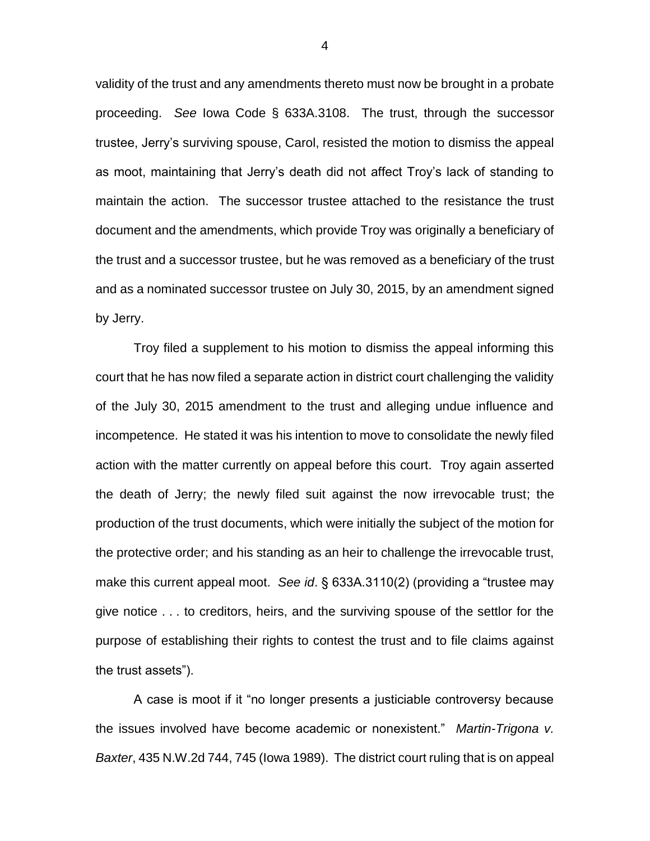validity of the trust and any amendments thereto must now be brought in a probate proceeding. *See* Iowa Code § 633A.3108. The trust, through the successor trustee, Jerry's surviving spouse, Carol, resisted the motion to dismiss the appeal as moot, maintaining that Jerry's death did not affect Troy's lack of standing to maintain the action. The successor trustee attached to the resistance the trust document and the amendments, which provide Troy was originally a beneficiary of the trust and a successor trustee, but he was removed as a beneficiary of the trust and as a nominated successor trustee on July 30, 2015, by an amendment signed by Jerry.

Troy filed a supplement to his motion to dismiss the appeal informing this court that he has now filed a separate action in district court challenging the validity of the July 30, 2015 amendment to the trust and alleging undue influence and incompetence. He stated it was his intention to move to consolidate the newly filed action with the matter currently on appeal before this court. Troy again asserted the death of Jerry; the newly filed suit against the now irrevocable trust; the production of the trust documents, which were initially the subject of the motion for the protective order; and his standing as an heir to challenge the irrevocable trust, make this current appeal moot. *See id*. § 633A.3110(2) (providing a "trustee may give notice . . . to creditors, heirs, and the surviving spouse of the settlor for the purpose of establishing their rights to contest the trust and to file claims against the trust assets").

A case is moot if it "no longer presents a justiciable controversy because the issues involved have become academic or nonexistent." *Martin-Trigona v. Baxter*, 435 N.W.2d 744, 745 (Iowa 1989). The district court ruling that is on appeal

4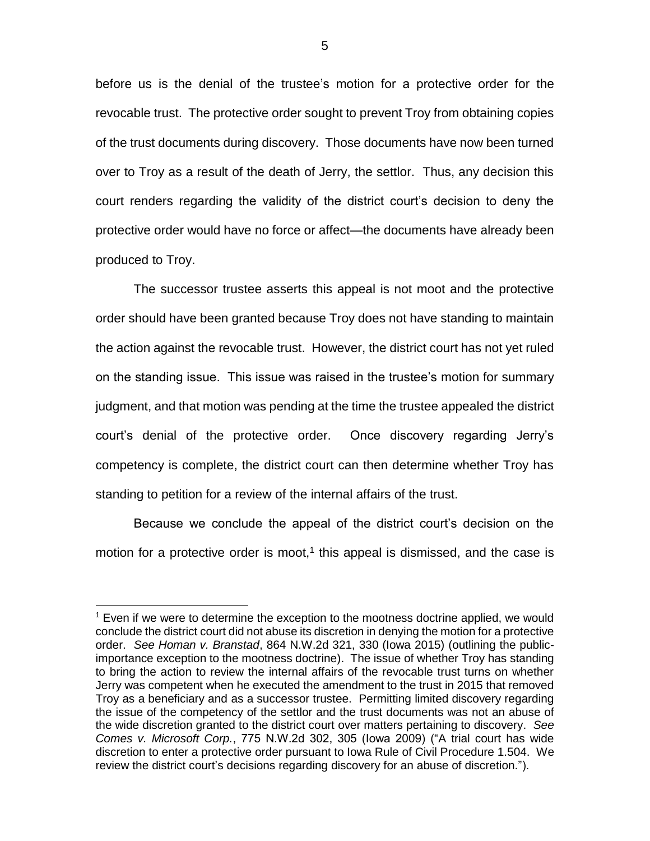before us is the denial of the trustee's motion for a protective order for the revocable trust. The protective order sought to prevent Troy from obtaining copies of the trust documents during discovery. Those documents have now been turned over to Troy as a result of the death of Jerry, the settlor. Thus, any decision this court renders regarding the validity of the district court's decision to deny the protective order would have no force or affect—the documents have already been produced to Troy.

The successor trustee asserts this appeal is not moot and the protective order should have been granted because Troy does not have standing to maintain the action against the revocable trust. However, the district court has not yet ruled on the standing issue. This issue was raised in the trustee's motion for summary judgment, and that motion was pending at the time the trustee appealed the district court's denial of the protective order. Once discovery regarding Jerry's competency is complete, the district court can then determine whether Troy has standing to petition for a review of the internal affairs of the trust.

Because we conclude the appeal of the district court's decision on the motion for a protective order is moot, $1$  this appeal is dismissed, and the case is

 $\overline{a}$ 

 $<sup>1</sup>$  Even if we were to determine the exception to the mootness doctrine applied, we would</sup> conclude the district court did not abuse its discretion in denying the motion for a protective order. *See Homan v. Branstad*, 864 N.W.2d 321, 330 (Iowa 2015) (outlining the publicimportance exception to the mootness doctrine). The issue of whether Troy has standing to bring the action to review the internal affairs of the revocable trust turns on whether Jerry was competent when he executed the amendment to the trust in 2015 that removed Troy as a beneficiary and as a successor trustee. Permitting limited discovery regarding the issue of the competency of the settlor and the trust documents was not an abuse of the wide discretion granted to the district court over matters pertaining to discovery. *See Comes v. Microsoft Corp.*, 775 N.W.2d 302, 305 (Iowa 2009) ("A trial court has wide discretion to enter a protective order pursuant to Iowa Rule of Civil Procedure 1.504. We review the district court's decisions regarding discovery for an abuse of discretion.").